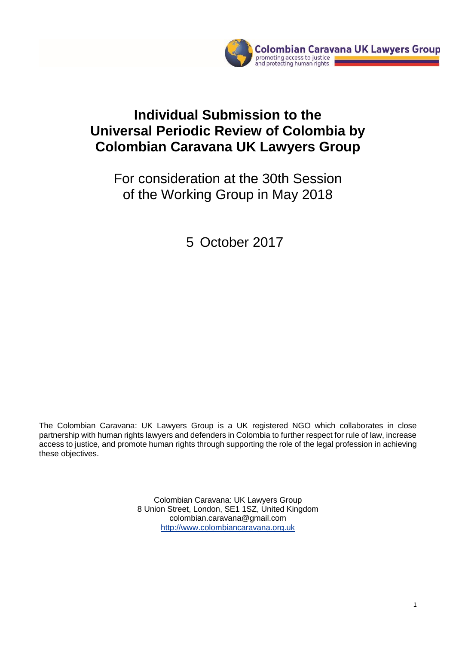

# **Individual Submission to the Universal Periodic Review of Colombia by Colombian Caravana UK Lawyers Group**

For consideration at the 30th Session of the Working Group in May 2018

5 October 2017

The Colombian Caravana: UK Lawyers Group is a UK registered NGO which collaborates in close partnership with human rights lawyers and defenders in Colombia to further respect for rule of law, increase access to justice, and promote human rights through supporting the role of the legal profession in achieving these objectives.

> Colombian Caravana: UK Lawyers Group 8 Union Street, London, SE1 1SZ, United Kingdom colombian.caravana@gmail.com [http://www.colombiancaravana.org.uk](http://www.colombiancaravana.org.uk/)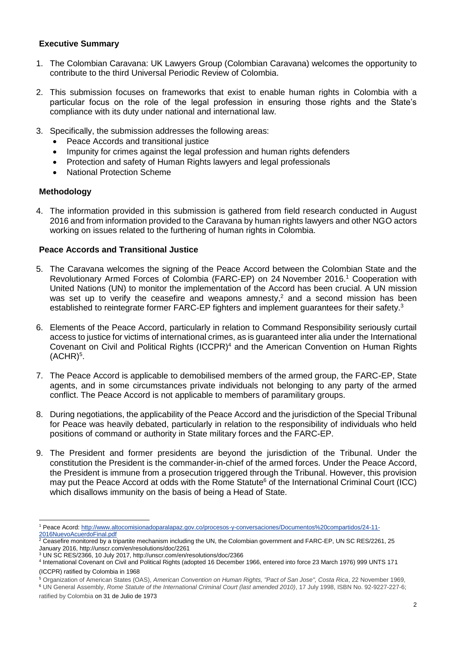# **Executive Summary**

- 1. The Colombian Caravana: UK Lawyers Group (Colombian Caravana) welcomes the opportunity to contribute to the third Universal Periodic Review of Colombia.
- 2. This submission focuses on frameworks that exist to enable human rights in Colombia with a particular focus on the role of the legal profession in ensuring those rights and the State's compliance with its duty under national and international law.
- 3. Specifically, the submission addresses the following areas:
	- Peace Accords and transitional justice
	- Impunity for crimes against the legal profession and human rights defenders
	- Protection and safety of Human Rights lawyers and legal professionals
	- National Protection Scheme

# **Methodology**

1

4. The information provided in this submission is gathered from field research conducted in August 2016 and from information provided to the Caravana by human rights lawyers and other NGO actors working on issues related to the furthering of human rights in Colombia.

# **Peace Accords and Transitional Justice**

- 5. The Caravana welcomes the signing of the Peace Accord between the Colombian State and the Revolutionary Armed Forces of Colombia (FARC-EP) on 24 November 2016.<sup>1</sup> Cooperation with United Nations (UN) to monitor the implementation of the Accord has been crucial. A UN mission was set up to verify the ceasefire and weapons amnesty,<sup>2</sup> and a second mission has been established to reintegrate former FARC-EP fighters and implement guarantees for their safety.<sup>3</sup>
- 6. Elements of the Peace Accord, particularly in relation to Command Responsibility seriously curtail access to justice for victims of international crimes, as is guaranteed inter alia under the International Covenant on Civil and Political Rights (ICCPR) <sup>4</sup> and the American Convention on Human Rights  $(ACHR)^5$ .
- 7. The Peace Accord is applicable to demobilised members of the armed group, the FARC-EP, State agents, and in some circumstances private individuals not belonging to any party of the armed conflict. The Peace Accord is not applicable to members of paramilitary groups.
- 8. During negotiations, the applicability of the Peace Accord and the jurisdiction of the Special Tribunal for Peace was heavily debated, particularly in relation to the responsibility of individuals who held positions of command or authority in State military forces and the FARC-EP.
- 9. The President and former presidents are beyond the jurisdiction of the Tribunal. Under the constitution the President is the commander-in-chief of the armed forces. Under the Peace Accord, the President is immune from a prosecution triggered through the Tribunal. However, this provision may put the Peace Accord at odds with the Rome Statute<sup>6</sup> of the International Criminal Court (ICC) which disallows immunity on the basis of being a Head of State.

<sup>5</sup> Organization of American States (OAS), *American Convention on Human Rights, "Pact of San Jose", Costa Rica*, 22 November 1969,

<sup>6</sup> UN General Assembly, *Rome Statute of the International Criminal Court (last amended 2010)*, 17 July 1998, ISBN No. 92-9227-227-6; ratified by Colombia on 31 de Julio de 1973

<sup>1</sup> Peace Acord[: http://www.altocomisionadoparalapaz.gov.co/procesos-y-conversaciones/Documentos%20compartidos/24-11-](http://www.altocomisionadoparalapaz.gov.co/procesos-y-conversaciones/Documentos%20compartidos/24-11-2016NuevoAcuerdoFinal.pdf) [2016NuevoAcuerdoFinal.pdf](http://www.altocomisionadoparalapaz.gov.co/procesos-y-conversaciones/Documentos%20compartidos/24-11-2016NuevoAcuerdoFinal.pdf)

<sup>2</sup> Ceasefire monitored by a tripartite mechanism including the UN, the Colombian government and FARC-EP, UN SC RES/2261, 25 January 2016, http://unscr.com/en/resolutions/doc/2261

<sup>3</sup> UN SC RES/2366, 10 July 2017, http://unscr.com/en/resolutions/doc/2366

<sup>4</sup> International Covenant on Civil and Political Rights (adopted 16 December 1966, entered into force 23 March 1976) 999 UNTS 171 (ICCPR) ratified by Colombia in 1968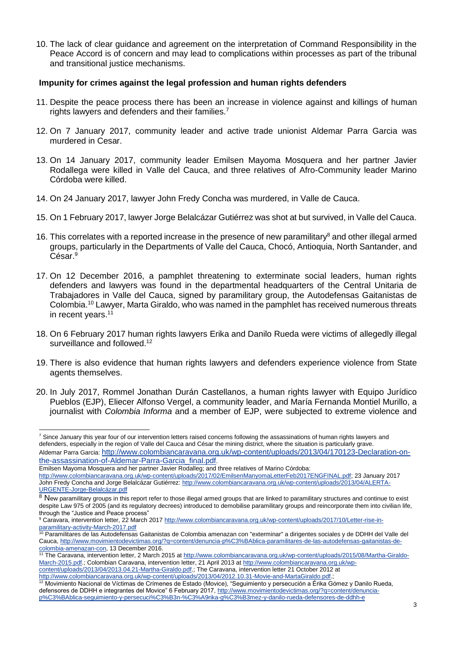10. The lack of clear guidance and agreement on the interpretation of Command Responsibility in the Peace Accord is of concern and may lead to complications within processes as part of the tribunal and transitional justice mechanisms.

#### **Impunity for crimes against the legal profession and human rights defenders**

- 11. Despite the peace process there has been an increase in violence against and killings of human rights lawyers and defenders and their families.<sup>7</sup>
- 12. On 7 January 2017, community leader and active trade unionist Aldemar Parra Garcia was murdered in Cesar.
- 13. On 14 January 2017, community leader Emilsen Mayoma Mosquera and her partner Javier Rodallega were killed in Valle del Cauca, and three relatives of Afro-Community leader Marino Córdoba were killed.
- 14. On 24 January 2017, lawyer John Fredy Concha was murdered, in Valle de Cauca.
- 15. On 1 February 2017, lawyer Jorge Belalcázar Gutiérrez was shot at but survived, in Valle del Cauca.
- 16. This correlates with a reported increase in the presence of new paramilitary<sup>8</sup> and other illegal armed groups, particularly in the Departments of Valle del Cauca, Chocó, Antioquia, North Santander, and César. 9
- 17. On 12 December 2016, a pamphlet threatening to exterminate social leaders, human rights defenders and lawyers was found in the departmental headquarters of the Central Unitaria de Trabajadores in Valle del Cauca, signed by paramilitary group, the Autodefensas Gaitanistas de Colombia.<sup>10</sup> Lawyer, Marta Giraldo, who was named in the pamphlet has received numerous threats in recent years.<sup>11</sup>
- 18. On 6 February 2017 human rights lawyers Erika and Danilo Rueda were victims of allegedly illegal surveillance and followed.<sup>12</sup>
- 19. There is also evidence that human rights lawyers and defenders experience violence from State agents themselves.
- 20. In July 2017, Rommel Jonathan Durán Castellanos, a human rights lawyer with Equipo Jurídico Pueblos (EJP), Eliecer Alfonso Vergel, a community leader, and María Fernanda Montiel Murillo, a journalist with *Colombia Informa* and a member of EJP, were subjected to extreme violence and

<sup>1</sup> <sup>7</sup> Since January this year four of our intervention letters raised concerns following the assassinations of human rights lawyers and defenders, especially in the region of Valle del Cauca and César the mining district, where the situation is particularly grave. Aldemar Parra Garcia: [http://www.colombiancaravana.org.uk/wp-content/uploads/2013/04/170123-Declaration-on](http://www.colombiancaravana.org.uk/wp-content/uploads/2013/04/170123-Declaration-on-the-assassination-of-Aldemar-Parra-Garcia_final.pdf)[the-assassination-of-Aldemar-Parra-Garcia\\_final.pdf](http://www.colombiancaravana.org.uk/wp-content/uploads/2013/04/170123-Declaration-on-the-assassination-of-Aldemar-Parra-Garcia_final.pdf).

Emilsen Mayoma Mosquera and her partner Javier Rodalleg; and three relatives of Marino Córdoba:

[http://www.colombiancaravana.org.uk/wp-content/uploads/2017/02/EmilsenManyomaLetterFeb2017ENGFINAL.pdf;](http://www.colombiancaravana.org.uk/wp-content/uploads/2017/02/EmilsenManyomaLetterFeb2017ENGFINAL.pdf) 23 January 2017 John Fredy Concha and Jorge Belalcázar Gutiérrez: [http://www.colombiancaravana.org.uk/wp-content/uploads/2013/04/ALERTA-](http://www.colombiancaravana.org.uk/wp-content/uploads/2013/04/ALERTA-URGENTE-Jorge-Belalcázar.pdf)[URGENTE-Jorge-Belalcázar.pdf](http://www.colombiancaravana.org.uk/wp-content/uploads/2013/04/ALERTA-URGENTE-Jorge-Belalcázar.pdf)

 $8$  New paramilitary groups in this report refer to those illegal armed groups that are linked to paramilitary structures and continue to exist despite Law 975 of 2005 (and its regulatory decrees) introduced to demobilise paramilitary groups and reincorporate them into civilian life, through the "Justice and Peace process"

<sup>9</sup> Caravara, intervention letter, 22 March 2017 [http://www.colombiancaravana.org.uk/wp-content/uploads/2017/10/Letter-rise-in](http://www.colombiancaravana.org.uk/wp-content/uploads/2017/10/Letter-rise-in-paramilitary-activity-March-2017.pdf)[paramilitary-activity-March-2017.pdf](http://www.colombiancaravana.org.uk/wp-content/uploads/2017/10/Letter-rise-in-paramilitary-activity-March-2017.pdf)

<sup>&</sup>lt;sup>10</sup> Paramilitares de las Autodefensas Gaitanistas de Colombia amenazan con "exterminar" a dirigentes sociales y de DDHH del Valle del Cauca[, http://www.movimientodevictimas.org/?q=content/denuncia-p%C3%BAblica-paramilitares-de-las-autodefensas-gaitanistas-de](http://www.movimientodevictimas.org/?q=content/denuncia-p%C3%BAblica-paramilitares-de-las-autodefensas-gaitanistas-de-colombia-amenazan-con)[colombia-amenazan-con,](http://www.movimientodevictimas.org/?q=content/denuncia-p%C3%BAblica-paramilitares-de-las-autodefensas-gaitanistas-de-colombia-amenazan-con) 13 December 2016.<br><sup>11</sup> The Corpuses 111

The Caravana, intervention letter, 2 March 2015 at [http://www.colombiancaravana.org.uk/wp-content/uploads/2015/08/Martha-Giraldo-](http://www.colombiancaravana.org.uk/wp-content/uploads/2015/08/Martha-Giraldo-March-2015.pdf)[March-2015.pdf.](http://www.colombiancaravana.org.uk/wp-content/uploads/2015/08/Martha-Giraldo-March-2015.pdf); Colombian Caravana, intervention letter, 21 April 2013 a[t http://www.colombiancaravana.org.uk/wp](http://www.colombiancaravana.org.uk/wp-content/uploads/2013/04/2013.04.21-Martha-Giraldo.pdf)[content/uploads/2013/04/2013.04.21-Martha-Giraldo.pdf.;](http://www.colombiancaravana.org.uk/wp-content/uploads/2013/04/2013.04.21-Martha-Giraldo.pdf) The Caravana, intervention letter 21 October 2012 at

[http://www.colombiancaravana.org.uk/wp-content/uploads/2013/04/2012.10.31-Movie-and-MartaGiraldo.pdf.](http://www.colombiancaravana.org.uk/wp-content/uploads/2013/04/2012.10.31-Movie-and-MartaGiraldo.pdf); <sup>12</sup> Movimiento Nacional de Víctimas de Crímenes de Estado (Movice), "Seguimiento y persecución a Érika Gómez y Danilo Rueda, defensores de DDHH e integrantes del Movice" 6 February 2017, [http://www.movimientodevictimas.org/?q=content/denuncia-](http://www.movimientodevictimas.org/?q=content/denuncia-p%C3%BAblica-seguimiento-y-persecuci%C3%B3n-%C3%A9rika-g%C3%B3mez-y-danilo-rueda-defensores-de-ddhh-e)

[p%C3%BAblica-seguimiento-y-persecuci%C3%B3n-%C3%A9rika-g%C3%B3mez-y-danilo-rueda-defensores-de-ddhh-e](http://www.movimientodevictimas.org/?q=content/denuncia-p%C3%BAblica-seguimiento-y-persecuci%C3%B3n-%C3%A9rika-g%C3%B3mez-y-danilo-rueda-defensores-de-ddhh-e)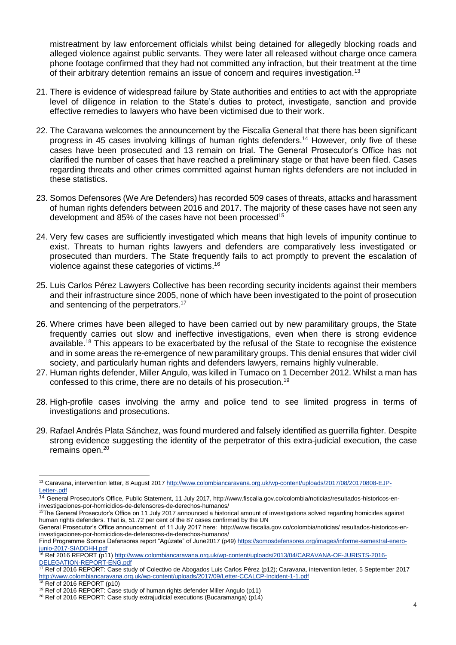mistreatment by law enforcement officials whilst being detained for allegedly blocking roads and alleged violence against public servants. They were later all released without charge once camera phone footage confirmed that they had not committed any infraction, but their treatment at the time of their arbitrary detention remains an issue of concern and requires investigation.<sup>13</sup>

- 21. There is evidence of widespread failure by State authorities and entities to act with the appropriate level of diligence in relation to the State's duties to protect, investigate, sanction and provide effective remedies to lawyers who have been victimised due to their work.
- 22. The Caravana welcomes the announcement by the Fiscalia General that there has been significant progress in 45 cases involving killings of human rights defenders. <sup>14</sup> However, only five of these cases have been prosecuted and 13 remain on trial. The General Prosecutor's Office has not clarified the number of cases that have reached a preliminary stage or that have been filed. Cases regarding threats and other crimes committed against human rights defenders are not included in these statistics.
- 23. Somos Defensores (We Are Defenders) has recorded 509 cases of threats, attacks and harassment of human rights defenders between 2016 and 2017. The majority of these cases have not seen any development and 85% of the cases have not been processed<sup>15</sup>
- 24. Very few cases are sufficiently investigated which means that high levels of impunity continue to exist. Threats to human rights lawyers and defenders are comparatively less investigated or prosecuted than murders. The State frequently fails to act promptly to prevent the escalation of violence against these categories of victims.<sup>16</sup>
- 25. Luis Carlos Pérez Lawyers Collective has been recording security incidents against their members and their infrastructure since 2005, none of which have been investigated to the point of prosecution and sentencing of the perpetrators.<sup>17</sup>
- 26. Where crimes have been alleged to have been carried out by new paramilitary groups, the State frequently carries out slow and ineffective investigations, even when there is strong evidence available.<sup>18</sup> This appears to be exacerbated by the refusal of the State to recognise the existence and in some areas the re-emergence of new paramilitary groups. This denial ensures that wider civil society, and particularly human rights and defenders lawyers, remains highly vulnerable.
- 27. Human rights defender, Miller Angulo, was killed in Tumaco on 1 December 2012. Whilst a man has confessed to this crime, there are no details of his prosecution.<sup>19</sup>
- 28. High-profile cases involving the army and police tend to see limited progress in terms of investigations and prosecutions.
- 29. Rafael Andrés Plata Sánchez, was found murdered and falsely identified as guerrilla fighter. Despite strong evidence suggesting the identity of the perpetrator of this extra-judicial execution, the case remains open. 20

Ref 2016 REPORT (p11) [http://www.colombiancaravana.org.uk/wp-content/uploads/2013/04/CARAVANA-OF-JURISTS-2016-](http://www.colombiancaravana.org.uk/wp-content/uploads/2013/04/CARAVANA-OF-JURISTS-2016-DELEGATION-REPORT-ENG.pdf) [DELEGATION-REPORT-ENG.pdf](http://www.colombiancaravana.org.uk/wp-content/uploads/2013/04/CARAVANA-OF-JURISTS-2016-DELEGATION-REPORT-ENG.pdf)

1

<sup>&</sup>lt;sup>13</sup> Caravana, intervention letter, 8 August 2017 [http://www.colombiancaravana.org.uk/wp-content/uploads/2017/08/20170808-EJP-](http://www.colombiancaravana.org.uk/wp-content/uploads/2017/08/20170808-EJP-Letter-.pdf)[Letter-.pdf](http://www.colombiancaravana.org.uk/wp-content/uploads/2017/08/20170808-EJP-Letter-.pdf)

<sup>14</sup> General Prosecutor's Office, Public Statement, 11 July 2017, http://www.fiscalia.gov.co/colombia/noticias/resultados-historicos-eninvestigaciones-por-homicidios-de-defensores-de-derechos-humanos/

<sup>&</sup>lt;sup>15</sup>The General Prosecutor's Office on 11 July 2017 announced a historical amount of investigations solved regarding homicides against human rights defenders. That is, 51.72 per cent of the 87 cases confirmed by the UN

General Prosecutor's Office announcement of 11 July 2017 here: http://www.fiscalia.gov.co/colombia/noticias/ resultados-historicos-eninvestigaciones-por-homicidios-de-defensores-de-derechos-humanos/

Find Programme Somos Defensores report "Agúzate" of June2017 (p49[\) https://somosdefensores.org/images/informe-semestral-enero](https://somosdefensores.org/images/informe-semestral-enero-junio-2017-SIADDHH.pdf)[junio-2017-SIADDHH.pdf](https://somosdefensores.org/images/informe-semestral-enero-junio-2017-SIADDHH.pdf)

<sup>17</sup> Ref of 2016 REPORT: Case study of Colectivo de Abogados Luis Carlos Pérez (p12); Caravana, intervention letter, 5 September 2017 <http://www.colombiancaravana.org.uk/wp-content/uploads/2017/09/Letter-CCALCP-Incident-1-1.pdf>

<sup>18</sup> Ref of 2016 REPORT (p10)

<sup>19</sup> Ref of 2016 REPORT: Case study of human rights defender Miller Angulo (p11)

<sup>&</sup>lt;sup>20</sup> Ref of 2016 REPORT: Case study extrajudicial executions (Bucaramanga) (p14)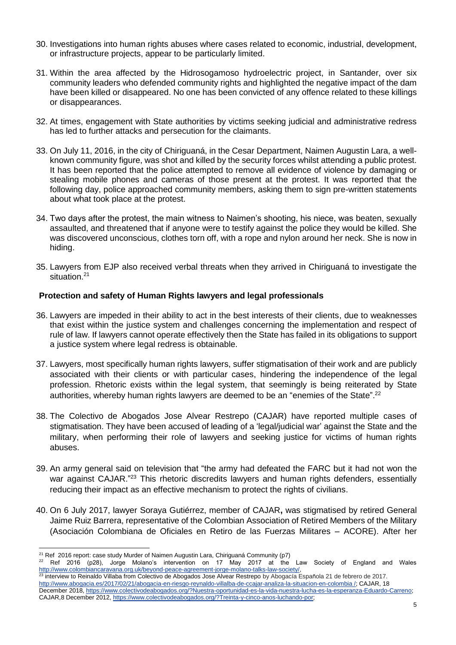- 30. Investigations into human rights abuses where cases related to economic, industrial, development, or infrastructure projects, appear to be particularly limited.
- 31. Within the area affected by the Hidrosogamoso hydroelectric project, in Santander, over six community leaders who defended community rights and highlighted the negative impact of the dam have been killed or disappeared. No one has been convicted of any offence related to these killings or disappearances.
- 32. At times, engagement with State authorities by victims seeking judicial and administrative redress has led to further attacks and persecution for the claimants.
- 33. On July 11, 2016, in the city of Chiriguaná, in the Cesar Department, Naimen Augustin Lara, a wellknown community figure, was shot and killed by the security forces whilst attending a public protest. It has been reported that the police attempted to remove all evidence of violence by damaging or stealing mobile phones and cameras of those present at the protest. It was reported that the following day, police approached community members, asking them to sign pre-written statements about what took place at the protest.
- 34. Two days after the protest, the main witness to Naimen's shooting, his niece, was beaten, sexually assaulted, and threatened that if anyone were to testify against the police they would be killed. She was discovered unconscious, clothes torn off, with a rope and nylon around her neck. She is now in hiding.
- 35. Lawyers from EJP also received verbal threats when they arrived in Chiriguaná to investigate the situation.<sup>21</sup>

## **Protection and safety of Human Rights lawyers and legal professionals**

- 36. Lawyers are impeded in their ability to act in the best interests of their clients, due to weaknesses that exist within the justice system and challenges concerning the implementation and respect of rule of law. If lawyers cannot operate effectively then the State has failed in its obligations to support a justice system where legal redress is obtainable.
- 37. Lawyers, most specifically human rights lawyers, suffer stigmatisation of their work and are publicly associated with their clients or with particular cases, hindering the independence of the legal profession. Rhetoric exists within the legal system, that seemingly is being reiterated by State authorities, whereby human rights lawyers are deemed to be an "enemies of the State".<sup>22</sup>
- 38. The Colectivo de Abogados Jose Alvear Restrepo (CAJAR) have reported multiple cases of stigmatisation. They have been accused of leading of a 'legal/judicial war' against the State and the military, when performing their role of lawyers and seeking justice for victims of human rights abuses.
- 39. An army general said on television that "the army had defeated the FARC but it had not won the war against CAJAR."<sup>23</sup> This rhetoric discredits lawyers and human rights defenders, essentially reducing their impact as an effective mechanism to protect the rights of civilians.
- 40. On 6 July 2017, lawyer Soraya Gutiérrez, member of CAJAR**,** was stigmatised by retired General Jaime Ruiz Barrera, representative of the Colombian Association of Retired Members of the Military (Asociación Colombiana de Oficiales en Retiro de las Fuerzas Militares – ACORE). After her

interview to Reinaldo Villaba from Colectivo de Abogados Jose Alvear Restrepo by Abogacía Española 21 de febrero de 2017. [http://www.abogacia.es/2017/02/21/abogacia-en-riesgo-reynaldo-villalba-de-ccajar-analiza-la-situacion-en-colombia /;](http://www.abogacia.es/2017/02/21/abogacia-en-riesgo-reynaldo-villalba-de-ccajar-analiza-la-situacion-en-colombia%20/) CAJAR, 18 December 2018[, https://www.colectivodeabogados.org/?Nuestra-oportunidad-es-la-vida-nuestra-lucha-es-la-esperanza-Eduardo-Carreno;](https://www.colectivodeabogados.org/?Nuestra-oportunidad-es-la-vida-nuestra-lucha-es-la-esperanza-Eduardo-Carreno) 

<sup>-</sup><sup>21</sup> Ref 2016 report: case study Murder of Naimen Augustin Lara, Chiriguaná Community (p7)

<sup>22</sup> Ref 2016 (p28), Jorge Molano's intervention on 17 May 2017 at the Law Society of England and Wales [http://www.colombiancaravana.org.uk/beyond-peace-agreement-jorge-molano-talks-law-society/,](http://www.colombiancaravana.org.uk/beyond-peace-agreement-jorge-molano-talks-law-society/)

CAJAR,8 December 2012[, https://www.colectivodeabogados.org/?Treinta-y-cinco-anos-luchando-por;](https://www.colectivodeabogados.org/?Treinta-y-cinco-anos-luchando-por)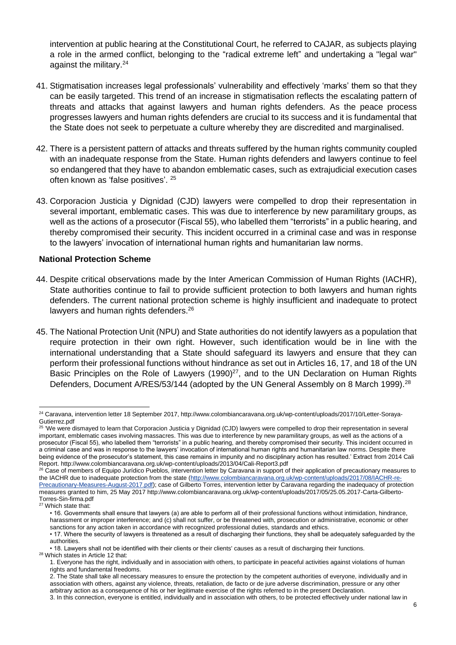intervention at public hearing at the Constitutional Court, he referred to CAJAR, as subjects playing a role in the armed conflict, belonging to the "radical extreme left" and undertaking a "legal war" against the military.<sup>24</sup>

- 41. Stigmatisation increases legal professionals' vulnerability and effectively 'marks' them so that they can be easily targeted. This trend of an increase in stigmatisation reflects the escalating pattern of threats and attacks that against lawyers and human rights defenders. As the peace process progresses lawyers and human rights defenders are crucial to its success and it is fundamental that the State does not seek to perpetuate a culture whereby they are discredited and marginalised.
- 42. There is a persistent pattern of attacks and threats suffered by the human rights community coupled with an inadequate response from the State. Human rights defenders and lawyers continue to feel so endangered that they have to abandon emblematic cases, such as extrajudicial execution cases often known as 'false positives'. <sup>25</sup>
- 43. Corporacion Justicia y Dignidad (CJD) lawyers were compelled to drop their representation in several important, emblematic cases. This was due to interference by new paramilitary groups, as well as the actions of a prosecutor (Fiscal 55), who labelled them "terrorists" in a public hearing, and thereby compromised their security. This incident occurred in a criminal case and was in response to the lawyers' invocation of international human rights and humanitarian law norms.

#### **National Protection Scheme**

- 44. Despite critical observations made by the Inter American Commission of Human Rights (IACHR), State authorities continue to fail to provide sufficient protection to both lawyers and human rights defenders. The current national protection scheme is highly insufficient and inadequate to protect lawyers and human rights defenders.<sup>26</sup>
- 45. The National Protection Unit (NPU) and State authorities do not identify lawyers as a population that require protection in their own right. However, such identification would be in line with the international understanding that a State should safeguard its lawyers and ensure that they can perform their professional functions without hindrance as set out in Articles 16, 17, and 18 of the UN Basic Principles on the Role of Lawyers (1990) $27$ , and to the UN Declaration on Human Rights Defenders, Document A/RES/53/144 (adopted by the UN General Assembly on 8 March 1999).<sup>28</sup>

-

<sup>24</sup> Caravana, intervention letter 18 September 2017, http://www.colombiancaravana.org.uk/wp-content/uploads/2017/10/Letter-Soraya-Gutierrez.pdf

<sup>&</sup>lt;sup>25 '</sup>We were dismayed to learn that Corporacion Justicia y Dignidad (CJD) lawyers were compelled to drop their representation in several important, emblematic cases involving massacres. This was due to interference by new paramilitary groups, as well as the actions of a prosecutor (Fiscal 55), who labelled them "terrorists" in a public hearing, and thereby compromised their security. This incident occurred in a criminal case and was in response to the lawyers' invocation of international human rights and humanitarian law norms. Despite there being evidence of the prosecutor's statement, this case remains in impunity and no disciplinary action has resulted.' Extract from 2014 Cali Report. http://www.colombiancaravana.org.uk/wp-content/uploads/2013/04/Cali-Report3.pdf

 $^{26}$  Case of members of Equipo Jurídico Pueblos, intervention letter by Caravana in support of their application of precautionary measures to the IACHR due to inadequate protection from the state [\(http://www.colombiancaravana.org.uk/wp-content/uploads/2017/08/IACHR-re-](http://www.colombiancaravana.org.uk/wp-content/uploads/2017/08/IACHR-re-Precautionary-Measures-August-2017.pdf)[Precautionary-Measures-August-2017.pdf\)](http://www.colombiancaravana.org.uk/wp-content/uploads/2017/08/IACHR-re-Precautionary-Measures-August-2017.pdf); case of Gilberto Torres, intervention letter by Caravana regarding the inadequacy of protection measures granted to him, 25 May 2017 http://www.colombiancaravana.org.uk/wp-content/uploads/2017/05/25.05.2017-Carta-Gilberto-Torres-Sin-firma.pdf

<sup>27</sup> Which state that:

<sup>• 16.</sup> Governments shall ensure that lawyers (a) are able to perform all of their professional functions without intimidation, hindrance, harassment or improper interference; and (c) shall not suffer, or be threatened with, prosecution or administrative, economic or other sanctions for any action taken in accordance with recognized professional duties, standards and ethics.

<sup>• 17.</sup> Where the security of lawyers is threatened as a result of discharging their functions, they shall be adequately safeguarded by the authorities.

<sup>• 18.</sup> Lawyers shall not be identified with their clients or their clients' causes as a result of discharging their functions. <sup>28</sup> Which states in Article 12 that:

<sup>1.</sup> Everyone has the right, individually and in association with others, to participate **i**n peaceful activities against violations of human rights and fundamental freedoms.

<sup>2.</sup> The State shall take all necessary measures to ensure the protection by the competent authorities of everyone, individually and in association with others, against any violence, threats, retaliation, de facto or de jure adverse discrimination, pressure or any other arbitrary action as a consequence of his or her legitimate exercise of the rights referred to in the present Declaration.

<sup>3.</sup> In this connection, everyone is entitled, individually and in association with others, to be protected effectively under national law in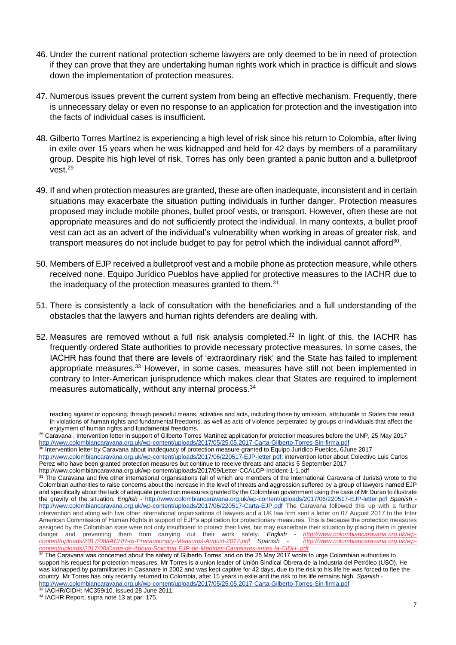- 46. Under the current national protection scheme lawyers are only deemed to be in need of protection if they can prove that they are undertaking human rights work which in practice is difficult and slows down the implementation of protection measures.
- 47. Numerous issues prevent the current system from being an effective mechanism. Frequently, there is unnecessary delay or even no response to an application for protection and the investigation into the facts of individual cases is insufficient.
- 48. Gilberto Torres Martínez is experiencing a high level of risk since his return to Colombia, after living in exile over 15 years when he was kidnapped and held for 42 days by members of a paramilitary group. Despite his high level of risk, Torres has only been granted a panic button and a bulletproof vest. 29
- 49. If and when protection measures are granted, these are often inadequate, inconsistent and in certain situations may exacerbate the situation putting individuals in further danger. Protection measures proposed may include mobile phones, bullet proof vests, or transport. However, often these are not appropriate measures and do not sufficiently protect the individual. In many contexts, a bullet proof vest can act as an advert of the individual's vulnerability when working in areas of greater risk, and transport measures do not include budget to pay for petrol which the individual cannot afford<sup>30</sup>.
- 50. Members of EJP received a bulletproof vest and a mobile phone as protection measure, while others received none. Equipo Jurídico Pueblos have applied for protective measures to the IACHR due to the inadequacy of the protection measures granted to them.<sup>31</sup>
- 51. There is consistently a lack of consultation with the beneficiaries and a full understanding of the obstacles that the lawyers and human rights defenders are dealing with.
- 52. Measures are removed without a full risk analysis completed.<sup>32</sup> In light of this, the IACHR has frequently ordered State authorities to provide necessary protective measures. In some cases, the IACHR has found that there are levels of 'extraordinary risk' and the State has failed to implement appropriate measures.<sup>33</sup> However, in some cases, measures have still not been implemented in contrary to Inter-American jurisprudence which makes clear that States are required to implement measures automatically, without any internal process.<sup>34</sup>

-

reacting against or opposing, through peaceful means, activities and acts, including those by omission, attributable to States that result in violations of human rights and fundamental freedoms, as well as acts of violence perpetrated by groups or individuals that affect the enjoyment of human rights and fundamental freedoms.

<sup>&</sup>lt;sup>29</sup> Caravana, intervention letter in support of Gilberto Torres Martínez application for protection measures before the UNP, 25 May 2017 <http://www.colombiancaravana.org.uk/wp-content/uploads/2017/05/25.05.2017-Carta-Gilberto-Torres-Sin-firma.pdf>

<sup>30</sup> Intervention letter by Caravana about inadequacy of protection measure granted to Equipo Jurídico Pueblos, 6June 2017 [http://www.colombiancaravana.org.uk/wp-content/uploads/2017/06/220517-EJP-letter.pdf;](http://www.colombiancaravana.org.uk/wp-content/uploads/2017/06/220517-EJP-letter.pdf) intervention letter about Colectivo Luis Carlos Perez who have been granted protection measures but continue to receive threats and attacks 5 September 2017

http://www.colombiancaravana.org.uk/wp-content/uploads/2017/09/Letter-CCALCP-Incident-1-1.pdf

<sup>&</sup>lt;sup>31</sup> The Caravana and five other international organisations (all of which are members of the International Caravana of Jurists) wrote to the Colombian authorities to raise concerns about the increase in the level of threats and aggression suffered by a group of lawyers named EJP and specifically about the lack of adequate protection measures granted by the Colombian government using the case of Mr Duran to illustrate the gravity of the situation. *English -* <http://www.colombiancaravana.org.uk/wp-content/uploads/2017/06/220517-EJP-letter.pdf> *Spanish*  <http://www.colombiancaravana.org.uk/wp-content/uploads/2017/06/220517-Carta-EJP.pdf> The Caravana followed this up with a further intervention and along with five other international organisations of lawyers and a UK law firm sent a letter on 07 August 2017 to the Inter American Commission of Human Rights in support of EJP's application for protectionary measures. This is because the protection measures assigned by the Colombian state were not only insufficient to protect their lives, but may exacerbate their situation by placing them in greater danger and preventing them from carrying out their work safely. English - htt danger and preventing them from carrying out their work safely. English - *[http://www.colombiancaravana.org.uk/wp](http://www.colombiancaravana.org.uk/wp-content/uploads/2017/08/IACHR-re-Precautionary-Measures-August-2017.pdf)[content/uploads/2017/08/IACHR-re-Precautionary-Measures-August-2017.pdf](http://www.colombiancaravana.org.uk/wp-content/uploads/2017/08/IACHR-re-Precautionary-Measures-August-2017.pdf) Spanish - [http://www.colombiancaravana.org.uk/wp](http://www.colombiancaravana.org.uk/wp-content/uploads/2017/08/Carta-de-Apoyo-Solicitud-EJP-de-Medidas-Cautelares-antes-la-CIDH-.pdf)[content/uploads/2017/08/Carta-de-Apoyo-Solicitud-EJP-de-Medidas-Cautelares-antes-la-CIDH-.pdf](http://www.colombiancaravana.org.uk/wp-content/uploads/2017/08/Carta-de-Apoyo-Solicitud-EJP-de-Medidas-Cautelares-antes-la-CIDH-.pdf)*

<sup>&</sup>lt;sup>32</sup> The Caravana was concerned about the safety of Gilberto Torres' and on the 25 May 2017 wrote to urge Colombian authorities to support his request for protection measures. Mr Torres is a union leader of Unión Sindical Obrera de la Industria del Petróleo (USO). He was kidnapped by paramilitaries in Casanare in 2002 and was kept captive for 42 days, due to the risk to his life he was forced to flee the country. Mr Torres has only recently returned to Colombia, after 15 years in exile and the risk to his life remains high. *Spanish*  <http://www.colombiancaravana.org.uk/wp-content/uploads/2017/05/25.05.2017-Carta-Gilberto-Torres-Sin-firma.pdf>

<sup>33</sup> IACHR/CIDH: MC359/10, issued 28 June 2011.